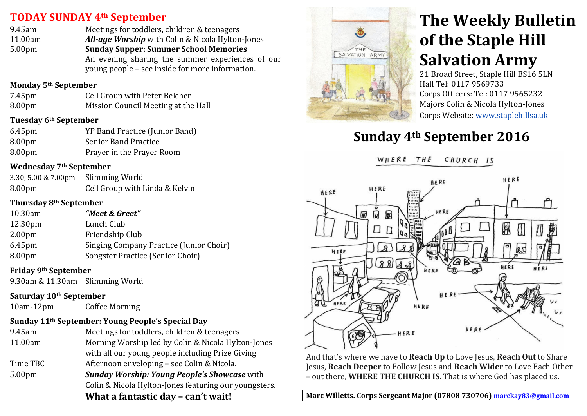## **TODAY SUNDAY&4th September**

9.45am Meetings for toddlers, children & teenagers 11.00am *All-age Worship* with Colin & Nicola Hylton-Jones 5.00pm **Sunday&Supper:&Summer&School&Memories** An evening sharing the summer experiences of our young'people'– see'inside'for'more'information.

#### **Monday&5th September**

| 7.45pm | Cell Group with Peter Belcher       |
|--------|-------------------------------------|
| 8.00pm | Mission Council Meeting at the Hall |

#### **Tuesday&6th September**

| $6.45$ pm | YP Band Practice (Junior Band) |
|-----------|--------------------------------|
| 8.00pm    | <b>Senior Band Practice</b>    |
| 8.00pm    | Prayer in the Prayer Room      |

#### **Wednesday&7th September**

| 3.30, 5.00 & 7.00pm | Slimming World                 |
|---------------------|--------------------------------|
| 8.00pm              | Cell Group with Linda & Kelvin |

#### **Thursday&8th September**

| 10.30am            | "Meet & Greet"                                 |
|--------------------|------------------------------------------------|
| 12.30pm            | Lunch Club                                     |
| 2.00 <sub>pm</sub> | Friendship Club                                |
| $6.45$ pm          | <b>Singing Company Practice (Junior Choir)</b> |
| 8.00 <sub>pm</sub> | Songster Practice (Senior Choir)               |
|                    |                                                |

### **Friday&9th September**

9.30am & 11.30am Slimming World

## **Saturday&10th September**

10am-12pm Coffee Morning

## Sunday 11<sup>th</sup> September: Young People's Special Day

| 9.45am             | Meetings for toddlers, children & teenagers           |
|--------------------|-------------------------------------------------------|
| 11.00am            | Morning Worship led by Colin & Nicola Hylton-Jones    |
|                    | with all our young people including Prize Giving      |
| Time TBC           | Afternoon enveloping - see Colin & Nicola.            |
| 5.00 <sub>pm</sub> | <b>Sunday Worship: Young People's Showcase</b> with   |
|                    | Colin & Nicola Hylton-Jones featuring our youngsters. |
|                    | What a fantactic day $=$ can't waitl                  |

**What a fantastic day – can't wait!** 



# **The Weekly Bulletin of the Staple Hill Salvation Army**

21 Broad Street, Staple Hill BS16 5LN Hall Tel: 0117 9569733 Corps Officers: Tel: 0117 9565232 Majors Colin & Nicola Hylton-Jones Corps Website: www.staplehillsa.uk

## **Sunday&4th September 2016**





And that's where we have to **Reach Up** to Love Jesus, **Reach Out** to Share Jesus, **Reach Deeper** to Follow Jesus and **Reach Wider** to Love Each Other – out there, **WHERE THE CHURCH IS.** That is where God has placed us.

**Marc&Willetts.&Corps&Sergeant&Major&(07808&730706)&marckay83@gmail.com**